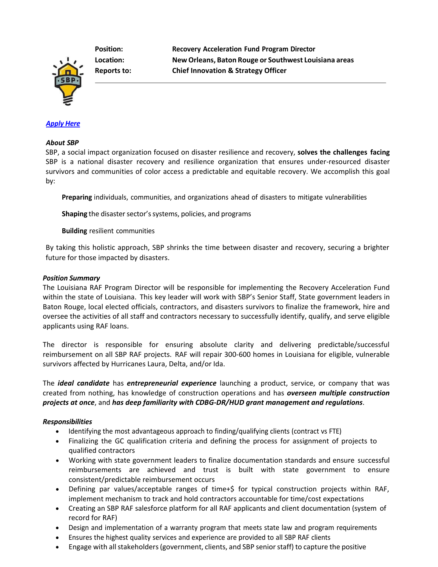**Position: Recovery Acceleration Fund Program Director Location: New Orleans, Baton Rouge or Southwest Louisiana areas Reports to: Chief Innovation & Strategy Officer**

# *[Apply](https://recruiting.paylocity.com/recruiting/jobs/Apply/1104199/SBP/Recovery-Acceleration-Fund-Program-Director) Here*

#### *About SBP*

SBP, a social impact organization focused on disaster resilience and recovery, **solves the challenges facing**  SBP is a national disaster recovery and resilience organization that ensures under-resourced disaster survivors and communities of color access a predictable and equitable recovery. We accomplish this goal by:

**Preparing** individuals, communities, and organizations ahead of disasters to mitigate vulnerabilities

**Shaping** the disaster sector's systems, policies, and programs

**Building** resilient communities

By taking this holistic approach, SBP shrinks the time between disaster and recovery, securing a brighter future for those impacted by disasters.

#### *Position Summary*

The Louisiana RAF Program Director will be responsible for implementing the Recovery Acceleration Fund within the state of Louisiana. This key leader will work with SBP's Senior Staff, State government leaders in Baton Rouge, local elected officials, contractors, and disasters survivors to finalize the framework, hire and oversee the activities of all staff and contractors necessary to successfully identify, qualify, and serve eligible applicants using RAF loans.

The director is responsible for ensuring absolute clarity and delivering predictable/successful reimbursement on all SBP RAF projects. RAF will repair 300-600 homes in Louisiana for eligible, vulnerable survivors affected by Hurricanes Laura, Delta, and/or Ida.

The *ideal candidate* has *entrepreneurial experience* launching a product, service, or company that was created from nothing, has knowledge of construction operations and has *overseen multiple construction projects at once*, and *has deep familiarity with CDBG-DR/HUD grant management and regulations*.

## *Responsibilities*

- Identifying the most advantageous approach to finding/qualifying clients (contract vs FTE)
- Finalizing the GC qualification criteria and defining the process for assignment of projects to qualified contractors
- Working with state government leaders to finalize documentation standards and ensure successful reimbursements are achieved and trust is built with state government to ensure consistent/predictable reimbursement occurs
- Defining par values/acceptable ranges of time+\$ for typical construction projects within RAF, implement mechanism to track and hold contractors accountable for time/cost expectations
- Creating an SBP RAF salesforce platform for all RAF applicants and client documentation (system of record for RAF)
- Design and implementation of a warranty program that meets state law and program requirements
- Ensures the highest quality services and experience are provided to all SBP RAF clients
- Engage with all stakeholders (government, clients, and SBP senior staff) to capture the positive